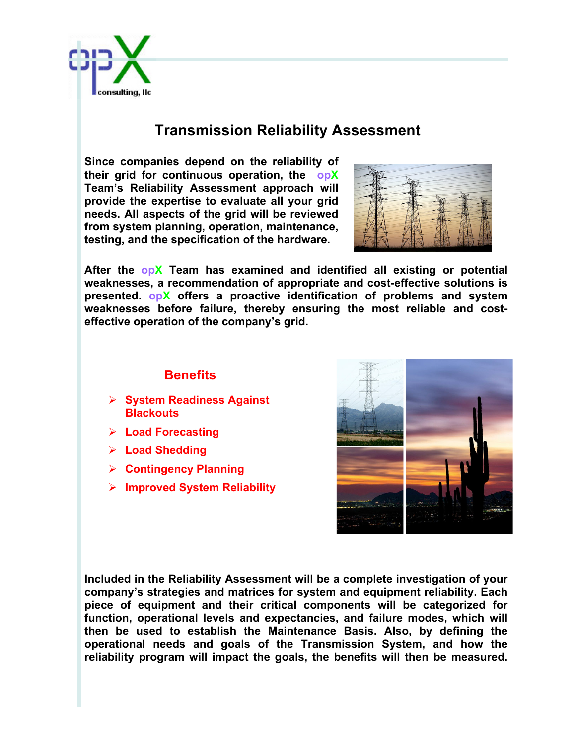

## **Transmission Reliability Assessment**

**Since companies depend on the reliability of their grid for continuous operation, the opX Team's Reliability Assessment approach will provide the expertise to evaluate all your grid needs. All aspects of the grid will be reviewed from system planning, operation, maintenance, testing, and the specification of the hardware.**



**After the opX Team has examined and identified all existing or potential weaknesses, a recommendation of appropriate and cost-effective solutions is presented. opX offers a proactive identification of problems and system weaknesses before failure, thereby ensuring the most reliable and costeffective operation of the company's grid.** 

## **Benefits**

- Ø **System Readiness Against Blackouts**
- Ø **Load Forecasting**
- Ø **Load Shedding**
- Ø **Contingency Planning**
- Ø **Improved System Reliability**



**Included in the Reliability Assessment will be a complete investigation of your company's strategies and matrices for system and equipment reliability. Each piece of equipment and their critical components will be categorized for function, operational levels and expectancies, and failure modes, which will then be used to establish the Maintenance Basis. Also, by defining the operational needs and goals of the Transmission System, and how the reliability program will impact the goals, the benefits will then be measured.**